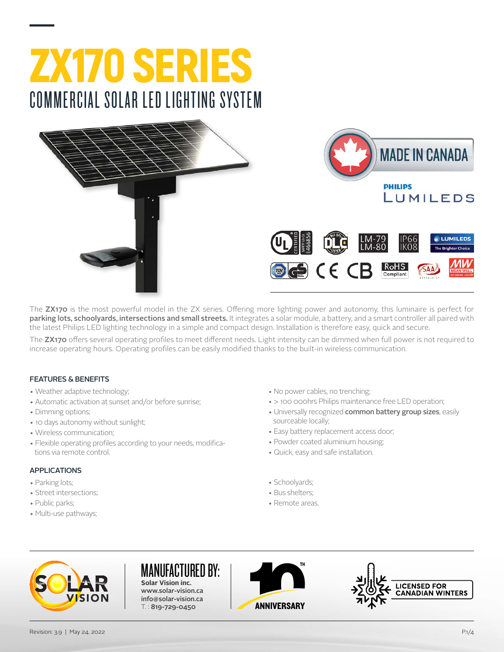





The ZX170 is the most powerful model in the ZX series. Offering more lighting power and autonomy, this luminaire is perfect for parking lots, schoolyards, intersections and small streets. It integrates a solar module, a battery, and a smart controller all paired with the latest Philips LED lighting technology in a simple and compact design. Installation is therefore easy, quick and secure.

The ZX170 offers several operating profiles to meet different needs. Light intensity can be dimmed when full power is not required to increase operating hours. Operating profiles can be easily modified thanks to the built-in wireless communication.

#### FEATURES & BENEFITS

- Weather adaptive technology;
- Automatic activation at sunset and/or before sunrise;
- Dimming options;
- 10 days autonomy without sunlight;
- Wireless communication;
- Flexible operating profiles according to your needs, modifications via remote control.

#### APPLICATIONS

- Parking lots;
- Street intersections;
- Public parks;
- Multi-use pathways;
- No power cables, no trenching;
- > 100 000hrs Philips maintenance free LED operation;
- Universally recognized common battery group sizes, easily sourceable locally;
- Easy battery replacement access door;
- Powder coated aluminium housing;
- Quick, easy and safe installation.
- Schoolyards;
- Bus shelters;
- Remote areas.



#### MANUFACTURED BY:

**Solar Vision inc.** www.solar-vision.ca info@solar-vision.ca T. : 819-729-0450



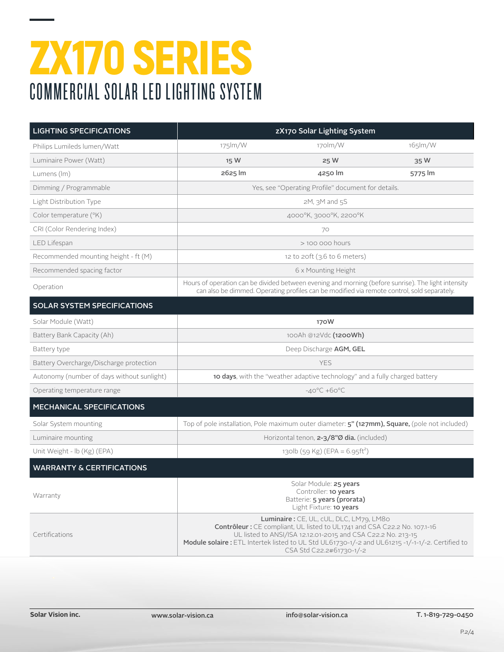| <b>LIGHTING SPECIFICATIONS</b>             | zX170 Solar Lighting System                                                                                                                                                                                                                                                                                          |                                                                                                                                                                                                    |         |  |  |  |
|--------------------------------------------|----------------------------------------------------------------------------------------------------------------------------------------------------------------------------------------------------------------------------------------------------------------------------------------------------------------------|----------------------------------------------------------------------------------------------------------------------------------------------------------------------------------------------------|---------|--|--|--|
| Philips Lumileds lumen/Watt                | 175lm/W                                                                                                                                                                                                                                                                                                              | 170lm/W                                                                                                                                                                                            | 165lm/W |  |  |  |
| Luminaire Power (Watt)                     | 15 W                                                                                                                                                                                                                                                                                                                 | 25 W                                                                                                                                                                                               | 35 W    |  |  |  |
| Lumens (Im)                                | 2625 lm                                                                                                                                                                                                                                                                                                              | 4250 lm                                                                                                                                                                                            | 5775 lm |  |  |  |
| Dimming / Programmable                     | Yes, see "Operating Profile" document for details.                                                                                                                                                                                                                                                                   |                                                                                                                                                                                                    |         |  |  |  |
| Light Distribution Type                    | $2M$ , $3M$ and $5S$                                                                                                                                                                                                                                                                                                 |                                                                                                                                                                                                    |         |  |  |  |
| Color temperature (°K)                     | 4000°K, 3000°K, 2200°K                                                                                                                                                                                                                                                                                               |                                                                                                                                                                                                    |         |  |  |  |
| CRI (Color Rendering Index)                | 70                                                                                                                                                                                                                                                                                                                   |                                                                                                                                                                                                    |         |  |  |  |
| LED Lifespan                               | $>$ 100 000 hours                                                                                                                                                                                                                                                                                                    |                                                                                                                                                                                                    |         |  |  |  |
| Recommended mounting height - ft (M)       | 12 to $2$ oft ( $3.6$ to $6$ meters)                                                                                                                                                                                                                                                                                 |                                                                                                                                                                                                    |         |  |  |  |
| Recommended spacing factor                 | 6 x Mounting Height                                                                                                                                                                                                                                                                                                  |                                                                                                                                                                                                    |         |  |  |  |
| Operation                                  |                                                                                                                                                                                                                                                                                                                      | Hours of operation can be divided between evening and morning (before sunrise). The light intensity<br>can also be dimmed. Operating profiles can be modified via remote control, sold separately. |         |  |  |  |
| SOLAR SYSTEM SPECIFICATIONS                |                                                                                                                                                                                                                                                                                                                      |                                                                                                                                                                                                    |         |  |  |  |
| Solar Module (Watt)                        | 170W                                                                                                                                                                                                                                                                                                                 |                                                                                                                                                                                                    |         |  |  |  |
| Battery Bank Capacity (Ah)                 | 100Ah @12Vdc (1200Wh)                                                                                                                                                                                                                                                                                                |                                                                                                                                                                                                    |         |  |  |  |
| Battery type                               | Deep Discharge AGM, GEL                                                                                                                                                                                                                                                                                              |                                                                                                                                                                                                    |         |  |  |  |
| Battery Overcharge/Discharge protection    | <b>YES</b>                                                                                                                                                                                                                                                                                                           |                                                                                                                                                                                                    |         |  |  |  |
| Autonomy (number of days without sunlight) | <b>10 days</b> , with the "weather adaptive technology" and a fully charged battery                                                                                                                                                                                                                                  |                                                                                                                                                                                                    |         |  |  |  |
| Operating temperature range                |                                                                                                                                                                                                                                                                                                                      | $-40^{\circ}$ C +60 $^{\circ}$ C                                                                                                                                                                   |         |  |  |  |
| <b>MECHANICAL SPECIFICATIONS</b>           |                                                                                                                                                                                                                                                                                                                      |                                                                                                                                                                                                    |         |  |  |  |
| Solar System mounting                      | Top of pole installation, Pole maximum outer diameter: <b>5" (127mm), Square,</b> (pole not included)                                                                                                                                                                                                                |                                                                                                                                                                                                    |         |  |  |  |
| Luminaire mounting                         |                                                                                                                                                                                                                                                                                                                      | Horizontal tenon, 2-3/8"Ø dia. (included)                                                                                                                                                          |         |  |  |  |
| Unit Weight - Ib (Kg) (EPA)                |                                                                                                                                                                                                                                                                                                                      | 130lb (59 Kg) (EPA = 6.95ft <sup>2</sup> )                                                                                                                                                         |         |  |  |  |
| <b>WARRANTY &amp; CERTIFICATIONS</b>       |                                                                                                                                                                                                                                                                                                                      |                                                                                                                                                                                                    |         |  |  |  |
| Warranty                                   | Solar Module: 25 years<br>Controller: 10 years<br>Batterie: 5 years (prorata)<br>Light Fixture: 10 years                                                                                                                                                                                                             |                                                                                                                                                                                                    |         |  |  |  |
| Certifications                             | Luminaire: CE, UL, cUL, DLC, LM79, LM80<br>Contrôleur : CE compliant, UL listed to UL1741 and CSA C22.2 No. 107.1-16<br>UL listed to ANSI/ISA 12.12.01-2015 and CSA C22.2 No. 213-15<br>Module solaire : ETL Intertek listed to UL Std UL61730-1/-2 and UL61215 -1/-1-1/-2. Certified to<br>CSA Std C22.2#61730-1/-2 |                                                                                                                                                                                                    |         |  |  |  |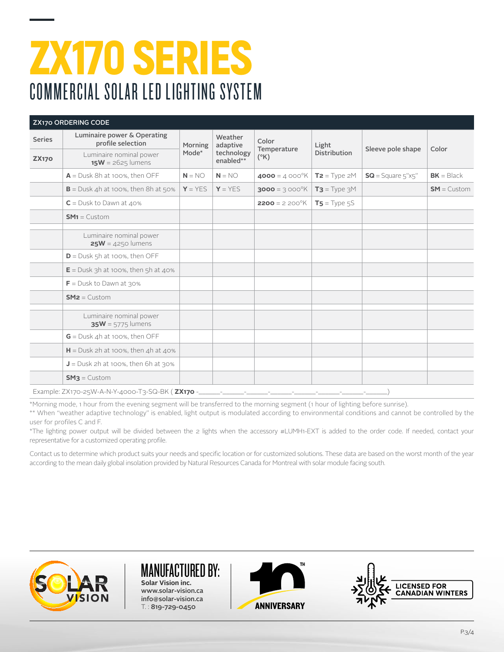| <b>ZX170 ORDERING CODE</b> |                                                                                                                                                                                               |                  |                                                |                                       |                              |                     |               |
|----------------------------|-----------------------------------------------------------------------------------------------------------------------------------------------------------------------------------------------|------------------|------------------------------------------------|---------------------------------------|------------------------------|---------------------|---------------|
| <b>Series</b>              | Luminaire power & Operating<br>profile selection                                                                                                                                              | Morning<br>Mode* | Weather<br>adaptive<br>technology<br>enabled** | Color<br>Temperature<br>$(^{\circ}K)$ | Light<br><b>Distribution</b> | Sleeve pole shape   | Color         |
| <b>ZX170</b>               | Luminaire nominal power<br>$15W = 2625$ lumens                                                                                                                                                |                  |                                                |                                       |                              |                     |               |
|                            | $A =$ Dusk 8h at 100%, then OFF                                                                                                                                                               | $N = NO$         | $N = NO$                                       | 4000 = $4000^{\circ}$ K               | $T2 = Type 2M$               | $SG = Square 5"x5"$ | $BK = Black$  |
|                            | $B =$ Dusk 4h at 100%, then 8h at 50%                                                                                                                                                         | $Y = YES$        | $Y = YES$                                      | 3000 = 3 000°K                        | $T3 = Type 3M$               |                     | $SM =$ Custom |
|                            | $C =$ Dusk to Dawn at 40%                                                                                                                                                                     |                  |                                                | <b>2200</b> = $2\,200^{\circ}$ K      | $TS = Type 5S$               |                     |               |
|                            | $SM1 =$ Custom                                                                                                                                                                                |                  |                                                |                                       |                              |                     |               |
|                            | Luminaire nominal power<br>$25W = 4250$ lumens                                                                                                                                                |                  |                                                |                                       |                              |                     |               |
|                            | $D =$ Dusk 5h at 100%, then OFF                                                                                                                                                               |                  |                                                |                                       |                              |                     |               |
|                            | $E =$ Dusk 3h at 100%, then 5h at 40%                                                                                                                                                         |                  |                                                |                                       |                              |                     |               |
|                            | $F =$ Dusk to Dawn at 30%                                                                                                                                                                     |                  |                                                |                                       |                              |                     |               |
|                            | $SM2 =$ Custom                                                                                                                                                                                |                  |                                                |                                       |                              |                     |               |
|                            | Luminaire nominal power<br>$35W = 5775$ lumens                                                                                                                                                |                  |                                                |                                       |                              |                     |               |
|                            | $G =$ Dusk 4h at 100%, then OFF                                                                                                                                                               |                  |                                                |                                       |                              |                     |               |
|                            | $H =$ Dusk 2h at 100%, then 4h at 40%                                                                                                                                                         |                  |                                                |                                       |                              |                     |               |
|                            | $J =$ Dusk 2h at 100%, then 6h at 30%                                                                                                                                                         |                  |                                                |                                       |                              |                     |               |
|                            | $SM3 =$ Custom                                                                                                                                                                                |                  |                                                |                                       |                              |                     |               |
|                            | Example: ZX170-25W-A-N-Y-4000-T3-SQ-BK ( <b>ZX170</b> -______- <sub>-</sub> ______- <sub>-</sub> ______-- <sup>-</sup> ______- <sup>-</sup> ______- <sup>-</sup> ______- <sup>-</sup> ______- |                  |                                                |                                       |                              |                     |               |

\*Morning mode, 1 hour from the evening segment will be transferred to the morning segment (1 hour of lighting before sunrise).

\*\* When "weather adaptive technology" is enabled, light output is modulated according to environmental conditions and cannot be controlled by the user for profiles C and F.

\*The lighting power output will be divided between the 2 lights when the accessory #LUMH1-EXT is added to the order code. If needed, contact your representative for a customized operating profile.

Contact us to determine which product suits your needs and specific location or for customized solutions. These data are based on the worst month of the year according to the mean daily global insolation provided by Natural Resources Canada for Montreal with solar module facing south.



#### MANUFACTURED BY: **Solar Vision inc.**

www.solar-vision.ca info@solar-vision.ca T. : 819-729-0450